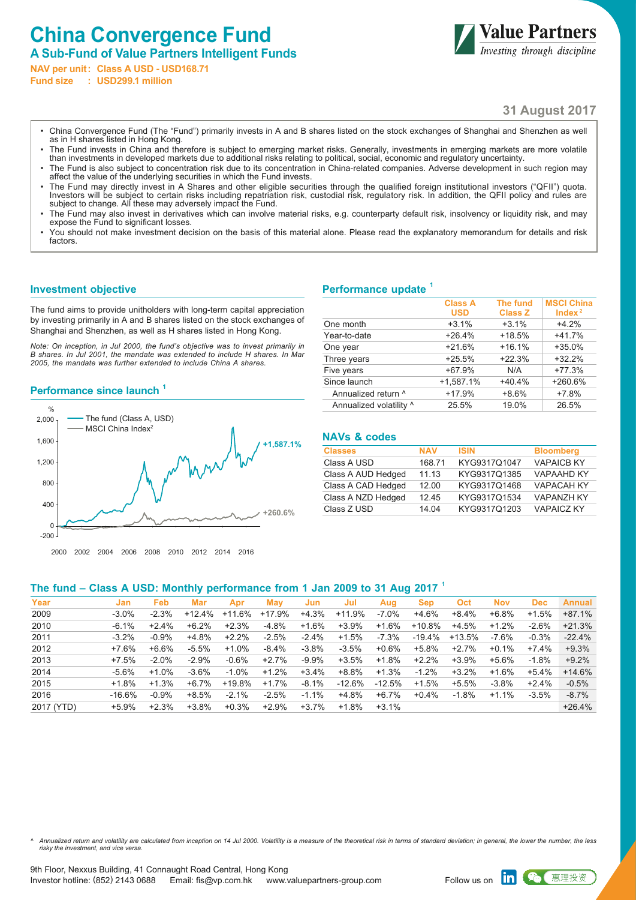# **China Convergence Fund**

**A Sub-Fund of Value Partners Intelligent Funds NAV per unit: Class A USD - USD168.71**

**Fund size : USD299.1 million**



# **31 August 2017**

- China Convergence Fund (The "Fund") primarily invests in A and B shares listed on the stock exchanges of Shanghai and Shenzhen as well as in H shares listed in Hong Kong.
- The Fund invests in China and therefore is subject to emerging market risks. Generally, investments in emerging markets are more volatile than investments in developed markets due to additional risks relating to political, social, economic and regulatory uncertainty.
- The Fund is also subject to concentration risk due to its concentration in China-related companies. Adverse development in such region may affect the value of the underlying securities in which the Fund invests.
- The Fund may directly invest in A Shares and other eligible securities through the qualified foreign institutional investors ("QFII") quota. Investors will be subject to certain risks including repatriation risk, custodial risk, regulatory risk. In addition, the QFII policy and rules are subject to change. All these may adversely impact the Fund.
- The Fund may also invest in derivatives which can involve material risks, e.g. counterparty default risk, insolvency or liquidity risk, and may expose the Fund to significant losses.
- You should not make investment decision on the basis of this material alone. Please read the explanatory memorandum for details and risk factors.

#### **Investment objective**

The fund aims to provide unitholders with long-term capital appreciation by investing primarily in A and B shares listed on the stock exchanges of Shanghai and Shenzhen, as well as H shares listed in Hong Kong.

*Note: On inception, in Jul 2000, the fund's objective was to invest primarily in B shares. In Jul 2001, the mandate was extended to include H shares. In Mar 2005, the mandate was further extended to include China A shares.*

#### **Performance since launch <sup>1</sup>**



## **Performance update <sup>1</sup>**

|                         | <b>Class A</b> | <b>The fund</b> | <b>MSCI China</b> |
|-------------------------|----------------|-----------------|-------------------|
|                         | <b>USD</b>     | <b>Class Z</b>  | Index $2$         |
| One month               | $+3.1%$        | $+3.1%$         | $+4.2%$           |
| Year-to-date            | $+26.4%$       | $+18.5%$        | $+41.7%$          |
| One year                | $+21.6%$       | $+16.1%$        | $+35.0%$          |
| Three years             | $+25.5%$       | $+22.3%$        | $+32.2%$          |
| Five years              | $+67.9%$       | N/A             | $+77.3%$          |
| Since launch            | $+1,587.1%$    | $+40.4%$        | $+260.6%$         |
| Annualized return ^     | $+17.9%$       | $+8.6%$         | $+7.8%$           |
| Annualized volatility ^ | 25.5%          | 19.0%           | 26.5%             |

## **NAVs & codes**

| <b>Classes</b>     | <b>NAV</b> | <b>ISIN</b>  | <b>Bloomberg</b>  |
|--------------------|------------|--------------|-------------------|
| Class A USD        | 168.71     | KYG9317Q1047 | <b>VAPAICB KY</b> |
| Class A AUD Hedged | 11.13      | KYG9317Q1385 | <b>VAPAAHD KY</b> |
| Class A CAD Hedged | 12.00      | KYG9317Q1468 | <b>VAPACAH KY</b> |
| Class A NZD Hedged | 12.45      | KYG9317Q1534 | <b>VAPANZH KY</b> |
| Class Z USD        | 14 04      | KYG9317Q1203 | <b>VAPAICZ KY</b> |

#### **The fund – Class A USD: Monthly performance from 1 Jan 2009 to 31 Aug 2017 <sup>1</sup>**

| Year       | Jan      | <b>Feb</b> | Mar      | Apr      | Mav      | Jun      | Jul      | Aug      | Sep       | Oct     | <b>Nov</b> | <b>Dec</b> | <b>Annual</b> |
|------------|----------|------------|----------|----------|----------|----------|----------|----------|-----------|---------|------------|------------|---------------|
| 2009       | $-3.0\%$ | $-2.3%$    | $+12.4%$ | +11.6%   | +17.9%   | $+4.3%$  | $+11.9%$ | $-7.0\%$ | +4.6%     | +8.4%   | $+6.8%$    | $+1.5%$    | $+87.1%$      |
| 2010       | $-6.1%$  | $+2.4%$    | $+6.2%$  | $+2.3%$  | $-4.8%$  | $+1.6%$  | $+3.9%$  | $+1.6%$  | $+10.8\%$ | +4.5%   | $+1.2%$    | $-2.6%$    | $+21.3%$      |
| 2011       | $-3.2%$  | $-0.9%$    | +4.8%    | $+2.2%$  | $-2.5%$  | $-2.4%$  | $+1.5%$  | $-7.3%$  | $-19.4\%$ | +13.5%  | $-7.6\%$   | $-0.3%$    | $-22.4%$      |
| 2012       | $+7.6%$  | +6.6%      | $-5.5%$  | $+1.0\%$ | $-8.4\%$ | $-3.8\%$ | $-3.5%$  | $+0.6\%$ | $+5.8%$   | +2.7%   | $+0.1\%$   | $+7.4%$    | $+9.3%$       |
| 2013       | $+7.5%$  | $-2.0%$    | $-2.9%$  | $-0.6%$  | $+2.7%$  | $-9.9%$  | $+3.5%$  | $+1.8%$  | $+2.2%$   | $+3.9%$ | +5.6%      | -1.8%      | $+9.2%$       |
| 2014       | $-5.6%$  | $+1.0%$    | $-3.6%$  | $-1.0\%$ | $+1.2%$  | $+3.4%$  | $+8.8%$  | $+1.3%$  | $-1.2%$   | $+3.2%$ | $+1.6%$    | +5.4%      | $+14.6%$      |
| 2015       | $+1.8%$  | $+1.3%$    | $+6.7%$  | +19.8%   | $+1.7%$  | $-8.1%$  | $-12.6%$ | $-12.5%$ | $+1.5%$   | +5.5%   | $-3.8\%$   | $+2.4%$    | $-0.5%$       |
| 2016       | -16.6%   | $-0.9%$    | $+8.5%$  | $-2.1%$  | $-2.5%$  | $-1.1%$  | $+4.8%$  | +6.7%    | $+0.4%$   | $-1.8%$ | $+1.1%$    | $-3.5%$    | $-8.7%$       |
| 2017 (YTD) | $+5.9\%$ | $+2.3%$    | $+3.8%$  | $+0.3%$  | $+2.9%$  | +3.7%    | +1.8%    | $+3.1\%$ |           |         |            |            | $+26.4%$      |

*^ Annualized return and volatility are calculated from inception on 14 Jul 2000. Volatility is a measure of the theoretical risk in terms of standard deviation; in general, the lower the number, the less risky the investment, and vice versa.*

惠理投资